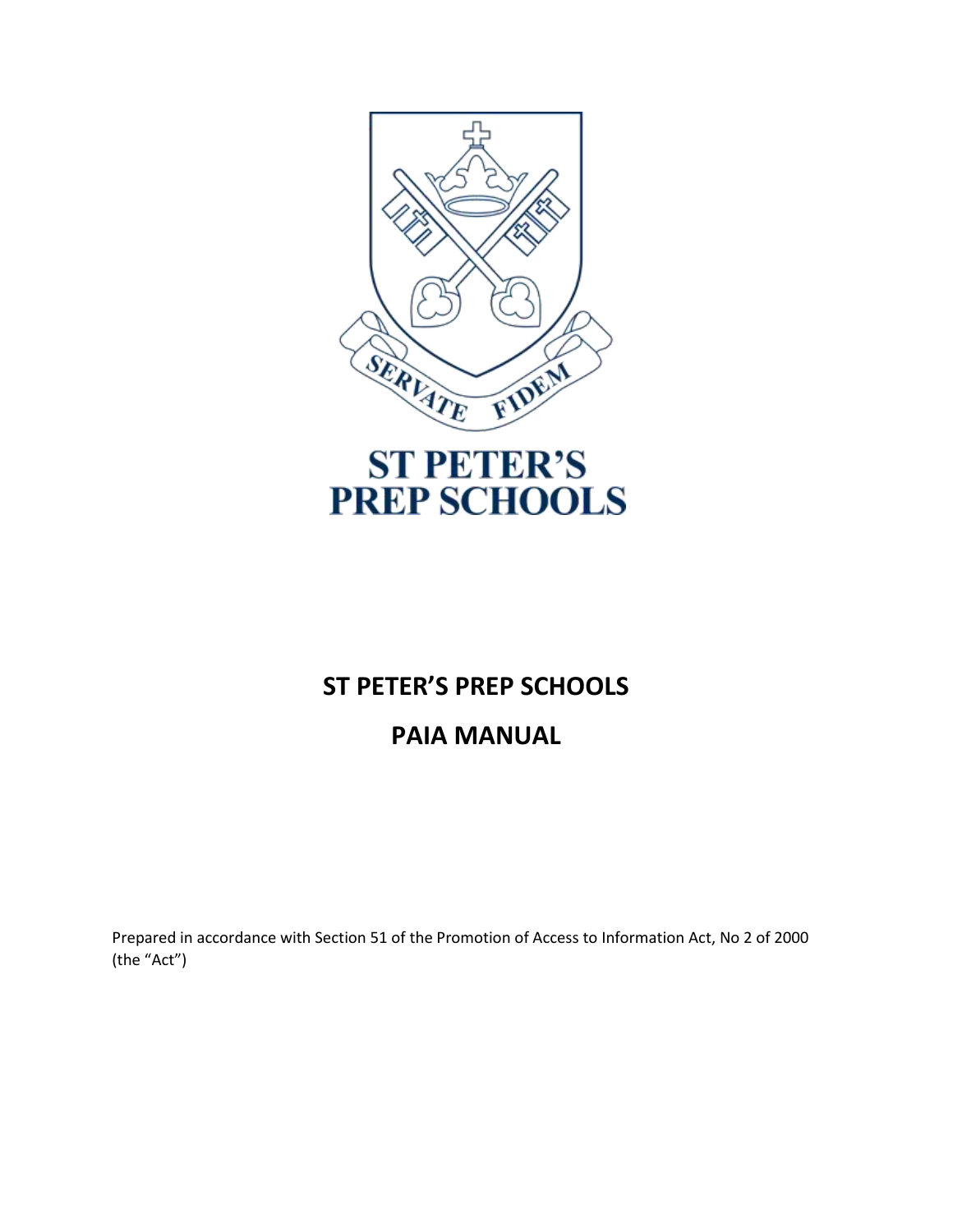

# **ST PETER'S PREP SCHOOLS**

# **PAIA MANUAL**

Prepared in accordance with Section 51 of the Promotion of Access to Information Act, No 2 of 2000 (the "Act")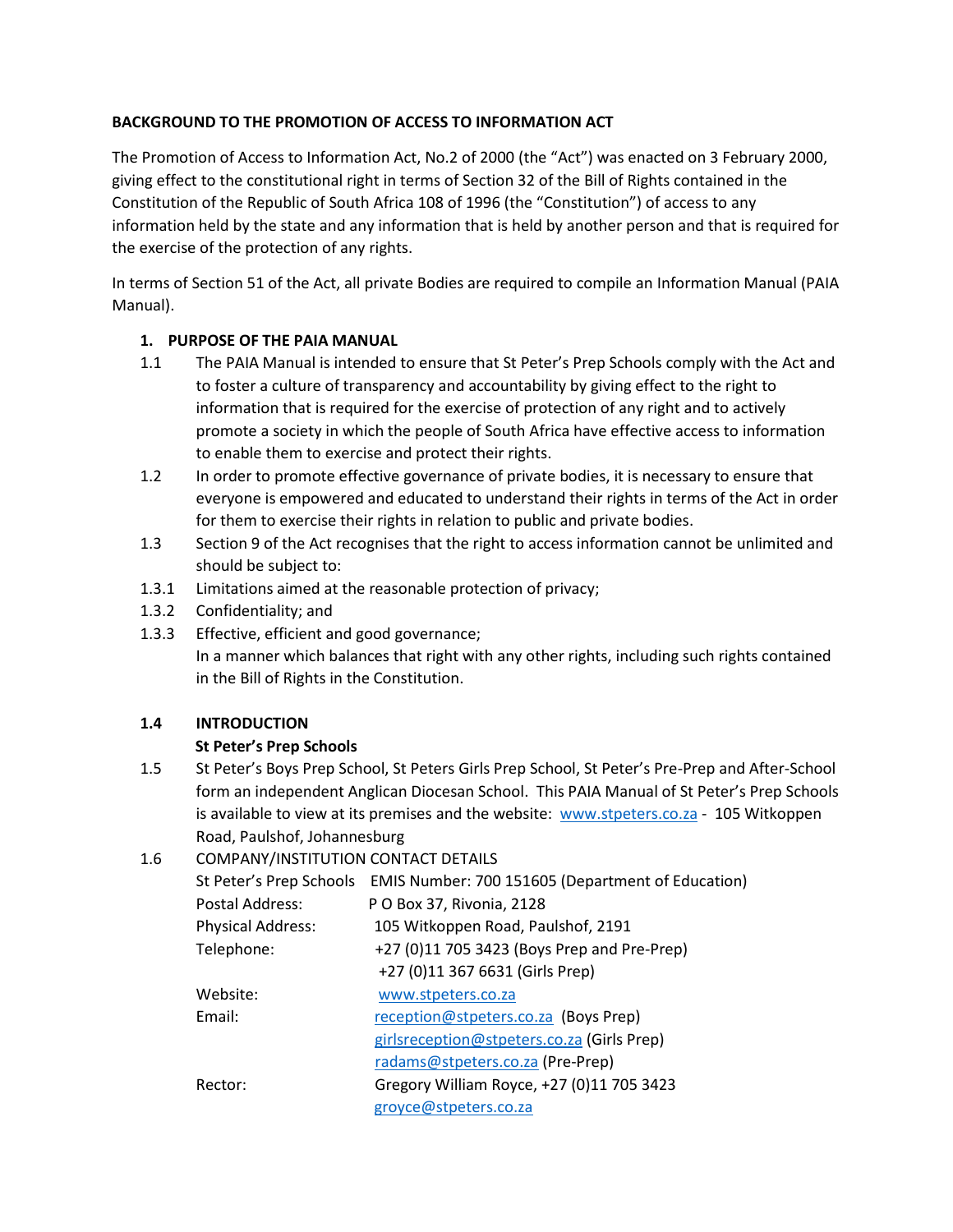# **BACKGROUND TO THE PROMOTION OF ACCESS TO INFORMATION ACT**

The Promotion of Access to Information Act, No.2 of 2000 (the "Act") was enacted on 3 February 2000, giving effect to the constitutional right in terms of Section 32 of the Bill of Rights contained in the Constitution of the Republic of South Africa 108 of 1996 (the "Constitution") of access to any information held by the state and any information that is held by another person and that is required for the exercise of the protection of any rights.

In terms of Section 51 of the Act, all private Bodies are required to compile an Information Manual (PAIA Manual).

## **1. PURPOSE OF THE PAIA MANUAL**

- 1.1 The PAIA Manual is intended to ensure that St Peter's Prep Schools comply with the Act and to foster a culture of transparency and accountability by giving effect to the right to information that is required for the exercise of protection of any right and to actively promote a society in which the people of South Africa have effective access to information to enable them to exercise and protect their rights.
- 1.2 In order to promote effective governance of private bodies, it is necessary to ensure that everyone is empowered and educated to understand their rights in terms of the Act in order for them to exercise their rights in relation to public and private bodies.
- 1.3 Section 9 of the Act recognises that the right to access information cannot be unlimited and should be subject to:
- 1.3.1 Limitations aimed at the reasonable protection of privacy;
- 1.3.2 Confidentiality; and
- 1.3.3 Effective, efficient and good governance;

In a manner which balances that right with any other rights, including such rights contained in the Bill of Rights in the Constitution.

## **1.4 INTRODUCTION**

# **St Peter's Prep Schools**

1.5 St Peter's Boys Prep School, St Peters Girls Prep School, St Peter's Pre-Prep and After-School form an independent Anglican Diocesan School. This PAIA Manual of St Peter's Prep Schools is available to view at its premises and the website: [www.stpeters.co.za](http://www.stpeters.co.za/) - 105 Witkoppen Road, Paulshof, Johannesburg

# 1.6 COMPANY/INSTITUTION CONTACT DETAILS

| St Peter's Prep Schools<br>Postal Address: | EMIS Number: 700 151605 (Department of Education)<br>P O Box 37, Rivonia, 2128 |
|--------------------------------------------|--------------------------------------------------------------------------------|
|                                            |                                                                                |
| <b>Physical Address:</b>                   | 105 Witkoppen Road, Paulshof, 2191                                             |
| Telephone:                                 | +27 (0)11 705 3423 (Boys Prep and Pre-Prep)                                    |
|                                            | +27 (0)11 367 6631 (Girls Prep)                                                |
| Website:                                   | www.stpeters.co.za                                                             |
| Email:                                     | reception@stpeters.co.za (Boys Prep)                                           |
|                                            | girlsreception@stpeters.co.za (Girls Prep)                                     |
|                                            | radams@stpeters.co.za (Pre-Prep)                                               |
| Rector:                                    | Gregory William Royce, +27 (0)11 705 3423                                      |
|                                            | groyce@stpeters.co.za                                                          |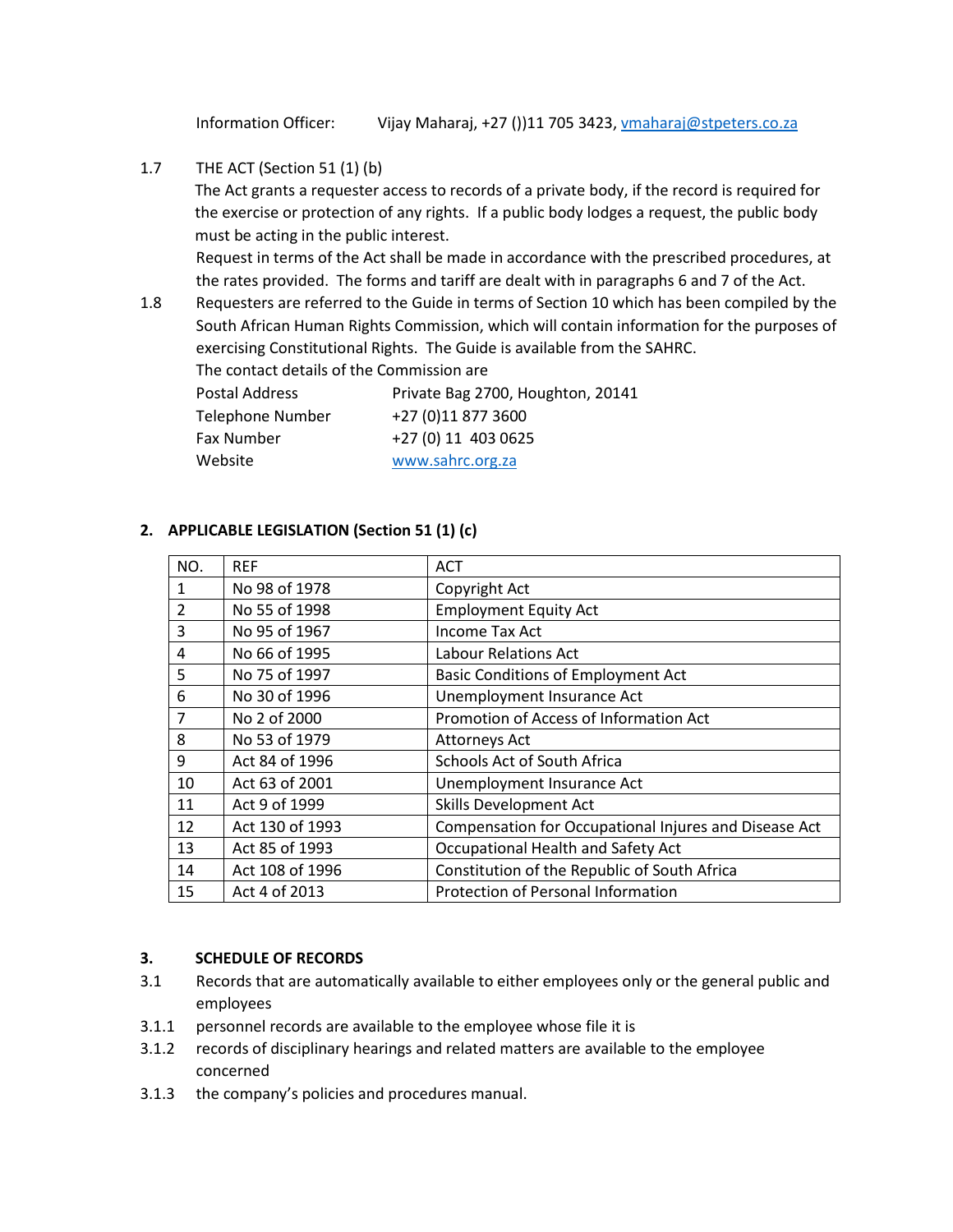Information Officer: Vijay Maharaj, +27 ())11 705 3423, [vmaharaj@stpeters.co.za](mailto:vmaharaj@stpeters.co.za)

1.7 THE ACT (Section 51 (1) (b)

The Act grants a requester access to records of a private body, if the record is required for the exercise or protection of any rights. If a public body lodges a request, the public body must be acting in the public interest.

Request in terms of the Act shall be made in accordance with the prescribed procedures, at the rates provided. The forms and tariff are dealt with in paragraphs 6 and 7 of the Act.

1.8 Requesters are referred to the Guide in terms of Section 10 which has been compiled by the South African Human Rights Commission, which will contain information for the purposes of exercising Constitutional Rights. The Guide is available from the SAHRC.

The contact details of the Commission are

| Postal Address   | Private Bag 2700, Houghton, 20141 |
|------------------|-----------------------------------|
| Telephone Number | +27 (0)11 877 3600                |
| Fax Number       | +27 (0) 11 403 0625               |
| Website          | www.sahrc.org.za                  |

#### **2. APPLICABLE LEGISLATION (Section 51 (1) (c)**

| NO.          | <b>REF</b>      | <b>ACT</b>                                            |
|--------------|-----------------|-------------------------------------------------------|
| $\mathbf{1}$ | No 98 of 1978   | Copyright Act                                         |
| 2            | No 55 of 1998   | <b>Employment Equity Act</b>                          |
| 3            | No 95 of 1967   | <b>Income Tax Act</b>                                 |
| 4            | No 66 of 1995   | Labour Relations Act                                  |
| 5            | No 75 of 1997   | <b>Basic Conditions of Employment Act</b>             |
| 6            | No 30 of 1996   | Unemployment Insurance Act                            |
| 7            | No 2 of 2000    | Promotion of Access of Information Act                |
| 8            | No 53 of 1979   | Attorneys Act                                         |
| 9            | Act 84 of 1996  | Schools Act of South Africa                           |
| 10           | Act 63 of 2001  | Unemployment Insurance Act                            |
| 11           | Act 9 of 1999   | Skills Development Act                                |
| 12           | Act 130 of 1993 | Compensation for Occupational Injures and Disease Act |
| 13           | Act 85 of 1993  | Occupational Health and Safety Act                    |
| 14           | Act 108 of 1996 | Constitution of the Republic of South Africa          |
| 15           | Act 4 of 2013   | Protection of Personal Information                    |

#### **3. SCHEDULE OF RECORDS**

- 3.1 Records that are automatically available to either employees only or the general public and employees
- 3.1.1 personnel records are available to the employee whose file it is
- 3.1.2 records of disciplinary hearings and related matters are available to the employee concerned
- 3.1.3 the company's policies and procedures manual.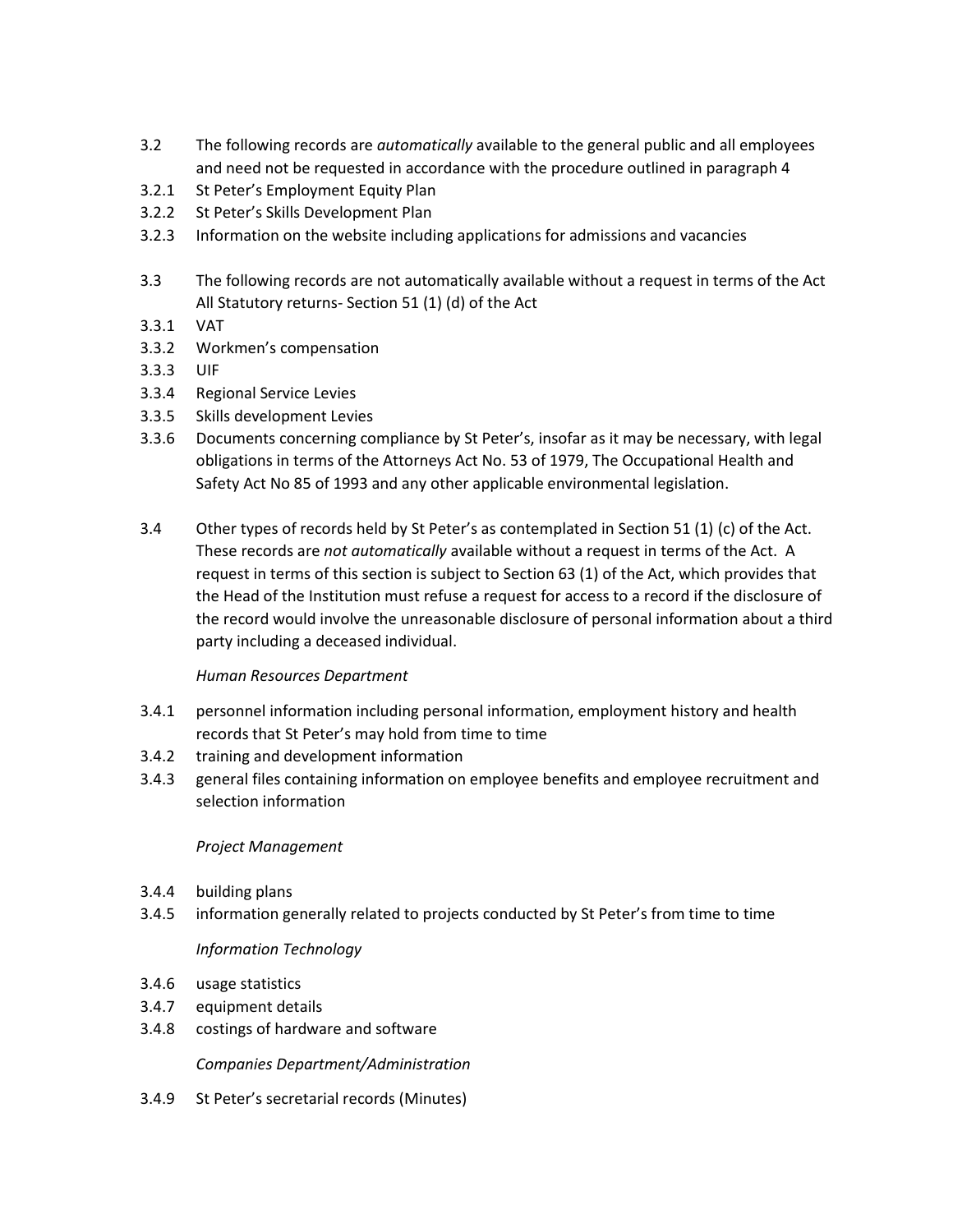- 3.2 The following records are *automatically* available to the general public and all employees and need not be requested in accordance with the procedure outlined in paragraph 4
- 3.2.1 St Peter's Employment Equity Plan
- 3.2.2 St Peter's Skills Development Plan
- 3.2.3 Information on the website including applications for admissions and vacancies
- 3.3 The following records are not automatically available without a request in terms of the Act All Statutory returns- Section 51 (1) (d) of the Act
- 3.3.1 VAT
- 3.3.2 Workmen's compensation
- 3.3.3 UIF
- 3.3.4 Regional Service Levies
- 3.3.5 Skills development Levies
- 3.3.6 Documents concerning compliance by St Peter's, insofar as it may be necessary, with legal obligations in terms of the Attorneys Act No. 53 of 1979, The Occupational Health and Safety Act No 85 of 1993 and any other applicable environmental legislation.
- 3.4 Other types of records held by St Peter's as contemplated in Section 51 (1) (c) of the Act. These records are *not automatically* available without a request in terms of the Act. A request in terms of this section is subject to Section 63 (1) of the Act, which provides that the Head of the Institution must refuse a request for access to a record if the disclosure of the record would involve the unreasonable disclosure of personal information about a third party including a deceased individual.

## *Human Resources Department*

- 3.4.1 personnel information including personal information, employment history and health records that St Peter's may hold from time to time
- 3.4.2 training and development information
- 3.4.3 general files containing information on employee benefits and employee recruitment and selection information

#### *Project Management*

- 3.4.4 building plans
- 3.4.5 information generally related to projects conducted by St Peter's from time to time

## *Information Technology*

- 3.4.6 usage statistics
- 3.4.7 equipment details
- 3.4.8 costings of hardware and software

*Companies Department/Administration*

3.4.9 St Peter's secretarial records (Minutes)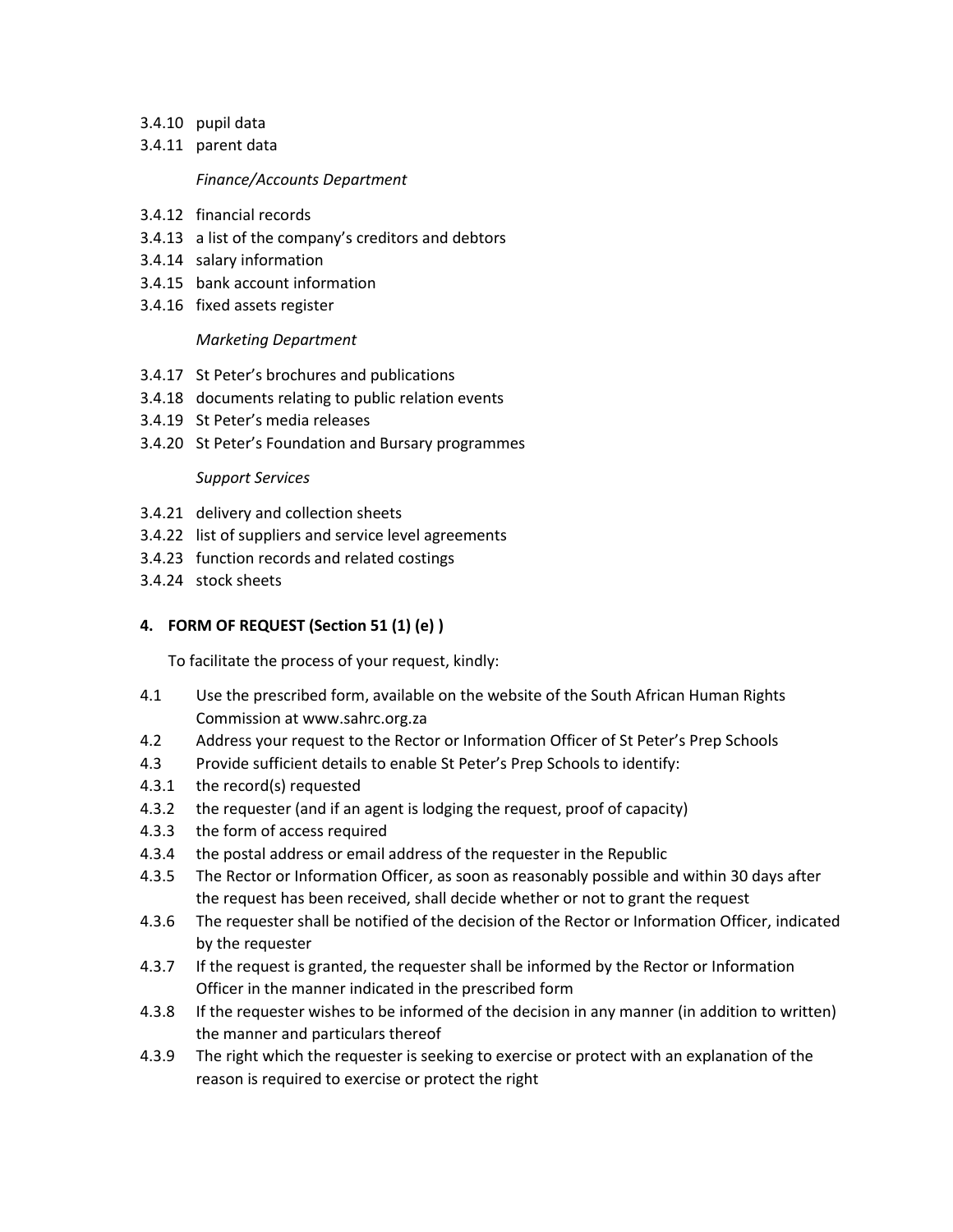- 3.4.10 pupil data
- 3.4.11 parent data

#### *Finance/Accounts Department*

- 3.4.12 financial records
- 3.4.13 a list of the company's creditors and debtors
- 3.4.14 salary information
- 3.4.15 bank account information
- 3.4.16 fixed assets register

#### *Marketing Department*

- 3.4.17 St Peter's brochures and publications
- 3.4.18 documents relating to public relation events
- 3.4.19 St Peter's media releases
- 3.4.20 St Peter's Foundation and Bursary programmes

#### *Support Services*

- 3.4.21 delivery and collection sheets
- 3.4.22 list of suppliers and service level agreements
- 3.4.23 function records and related costings
- 3.4.24 stock sheets

#### **4. FORM OF REQUEST (Section 51 (1) (e) )**

To facilitate the process of your request, kindly:

- 4.1 Use the prescribed form, available on the website of the South African Human Rights Commission at www.sahrc.org.za
- 4.2 Address your request to the Rector or Information Officer of St Peter's Prep Schools
- 4.3 Provide sufficient details to enable St Peter's Prep Schools to identify:
- 4.3.1 the record(s) requested
- 4.3.2 the requester (and if an agent is lodging the request, proof of capacity)
- 4.3.3 the form of access required
- 4.3.4 the postal address or email address of the requester in the Republic
- 4.3.5 The Rector or Information Officer, as soon as reasonably possible and within 30 days after the request has been received, shall decide whether or not to grant the request
- 4.3.6 The requester shall be notified of the decision of the Rector or Information Officer, indicated by the requester
- 4.3.7 If the request is granted, the requester shall be informed by the Rector or Information Officer in the manner indicated in the prescribed form
- 4.3.8 If the requester wishes to be informed of the decision in any manner (in addition to written) the manner and particulars thereof
- 4.3.9 The right which the requester is seeking to exercise or protect with an explanation of the reason is required to exercise or protect the right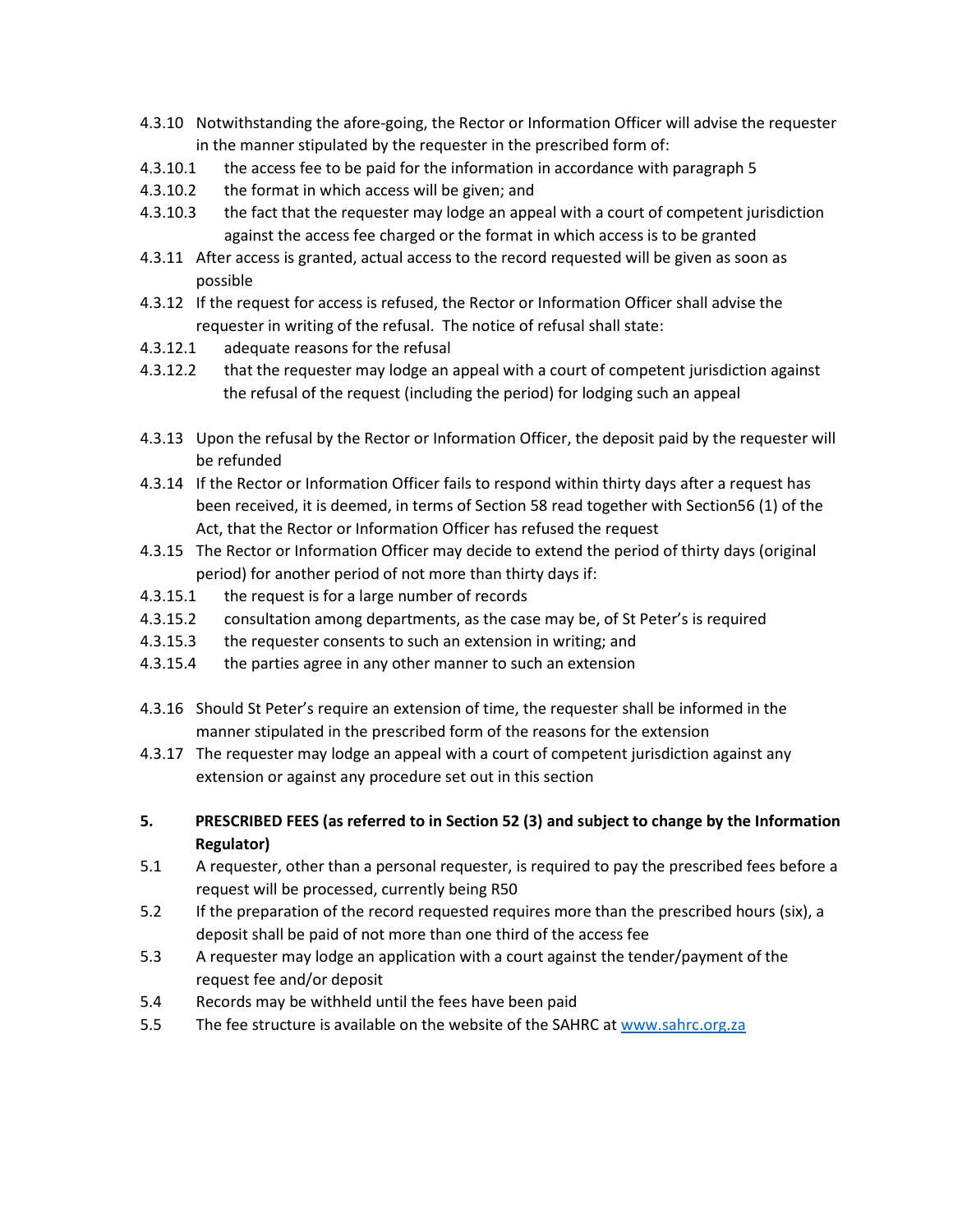- 4.3.10 Notwithstanding the afore-going, the Rector or Information Officer will advise the requester in the manner stipulated by the requester in the prescribed form of:
- 4.3.10.1 the access fee to be paid for the information in accordance with paragraph 5
- 4.3.10.2 the format in which access will be given; and
- 4.3.10.3 the fact that the requester may lodge an appeal with a court of competent jurisdiction against the access fee charged or the format in which access is to be granted
- 4.3.11 After access is granted, actual access to the record requested will be given as soon as possible
- 4.3.12 If the request for access is refused, the Rector or Information Officer shall advise the requester in writing of the refusal. The notice of refusal shall state:
- 4.3.12.1 adequate reasons for the refusal
- 4.3.12.2 that the requester may lodge an appeal with a court of competent jurisdiction against the refusal of the request (including the period) for lodging such an appeal
- 4.3.13 Upon the refusal by the Rector or Information Officer, the deposit paid by the requester will be refunded
- 4.3.14 If the Rector or Information Officer fails to respond within thirty days after a request has been received, it is deemed, in terms of Section 58 read together with Section56 (1) of the Act, that the Rector or Information Officer has refused the request
- 4.3.15 The Rector or Information Officer may decide to extend the period of thirty days (original period) for another period of not more than thirty days if:
- 4.3.15.1 the request is for a large number of records
- 4.3.15.2 consultation among departments, as the case may be, of St Peter's is required
- 4.3.15.3 the requester consents to such an extension in writing; and
- 4.3.15.4 the parties agree in any other manner to such an extension
- 4.3.16 Should St Peter's require an extension of time, the requester shall be informed in the manner stipulated in the prescribed form of the reasons for the extension
- 4.3.17 The requester may lodge an appeal with a court of competent jurisdiction against any extension or against any procedure set out in this section
- **5. PRESCRIBED FEES (as referred to in Section 52 (3) and subject to change by the Information Regulator)**
- 5.1 A requester, other than a personal requester, is required to pay the prescribed fees before a request will be processed, currently being R50
- 5.2 If the preparation of the record requested requires more than the prescribed hours (six), a deposit shall be paid of not more than one third of the access fee
- 5.3 A requester may lodge an application with a court against the tender/payment of the request fee and/or deposit
- 5.4 Records may be withheld until the fees have been paid
- 5.5 The fee structure is available on the website of the SAHRC at [www.sahrc.org.za](http://www.sahrc.org.za/)